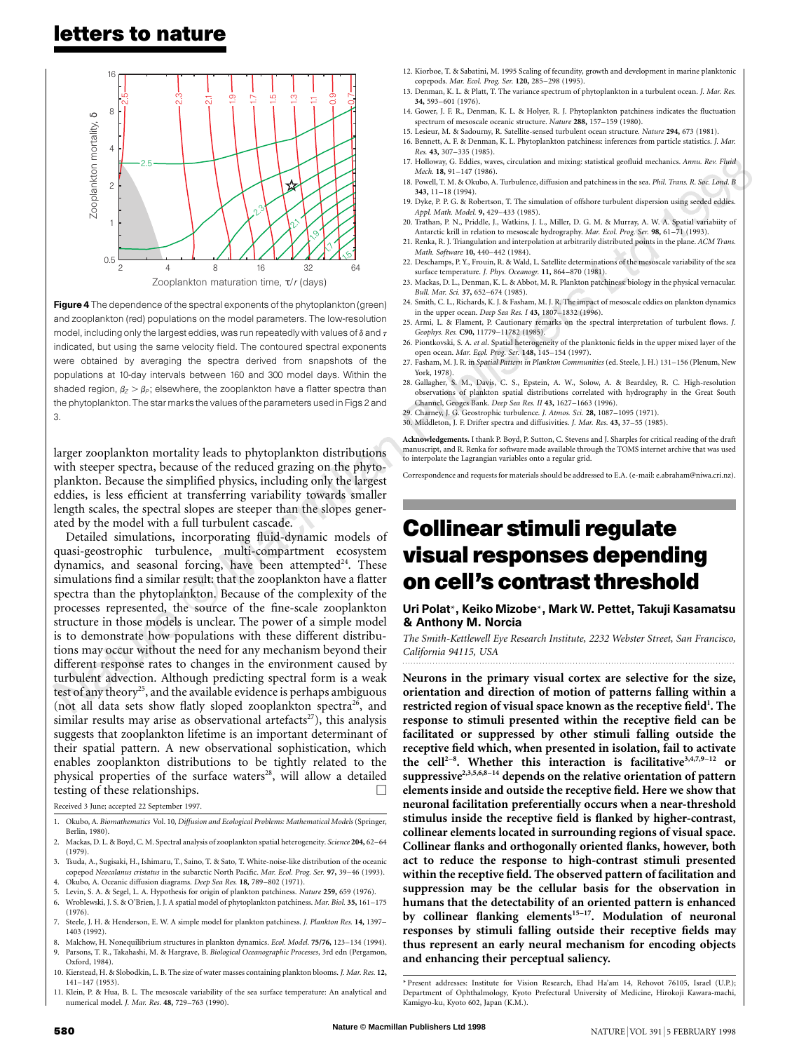

Figure 4 The dependence of the spectral exponents of the phytoplankton (green) and zooplankton (red) populations on the model parameters. The low-resolution model, including only the largest eddies, was run repeatedly with values of  $\delta$  and  $\tau$ indicated, but using the same velocity field. The contoured spectral exponents were obtained by averaging the spectra derived from snapshots of the populations at 10-day intervals between 160 and 300 model days. Within the shaded region,  $\beta_Z > \beta_P$ ; elsewhere, the zooplankton have a flatter spectra than the phytoplankton. The star marks the values of the parameters used in Figs 2 and 3.

larger zooplankton mortality leads to phytoplankton distributions with steeper spectra, because of the reduced grazing on the phytoplankton. Because the simplified physics, including only the largest eddies, is less efficient at transferring variability towards smaller length scales, the spectral slopes are steeper than the slopes generated by the model with a full turbulent cascade.

Detailed simulations, incorporating fluid-dynamic models of quasi-geostrophic turbulence, multi-compartment ecosystem dynamics, and seasonal forcing, have been attempted<sup>24</sup>. These simulations find a similar result: that the zooplankton have a flatter spectra than the phytoplankton. Because of the complexity of the processes represented, the source of the fine-scale zooplankton structure in those models is unclear. The power of a simple model is to demonstrate how populations with these different distributions may occur without the need for any mechanism beyond their different response rates to changes in the environment caused by turbulent advection. Although predicting spectral form is a weak test of any theory<sup>25</sup>, and the available evidence is perhaps ambiguous (not all data sets show flatly sloped zooplankton spectra<sup>26</sup>, and similar results may arise as observational artefacts<sup>27</sup>), this analysis suggests that zooplankton lifetime is an important determinant of their spatial pattern. A new observational sophistication, which enables zooplankton distributions to be tightly related to the physical properties of the surface waters<sup>28</sup>, will allow a detailed testing of these relationships.  $\Box$ 

Received 3 June; accepted 22 September 1997.

- 1. Okubo, A. *Biomathematics* Vol. 10*, Diffusion and Ecological Problems: Mathematical Models* (Springer, Berlin, 1980).
- 2. Mackas, D. L. & Boyd, C. M. Spectral analysis of zooplankton spatial heterogeneity. *Science* **204,** 62–64 (1979).
- 3. Tsuda, A., Sugisaki, H., Ishimaru, T., Saino, T. & Sato, T. White-noise-like distribution of the oceanic copepod *Neocalanus cristatus* in the subarctic North Pacific. *Mar. Ecol. Prog. Ser.* **97,** 39–46 (1993). 4. Okubo, A. Oceanic diffusion diagrams. *Deep Sea Res.* **18,** 789–802 (1971).
- 5. Levin, S. A. & Segel, L. A. Hypothesis for origin of plankton patchiness. *Nature* **259,** 659 (1976).
- 6. Wroblewski, J. S. & O'Brien, J. J. A spatial model of phytoplankton patchiness. *Mar. Biol.* **35,** 161–175 (1976).
- 7. Steele, J. H. & Henderson, E. W. A simple model for plankton patchiness. *J. Plankton Res.* **14,** 1397– 1403 (1992).
- 8. Malchow, H. Nonequilibrium structures in plankton dynamics. *Ecol. Model.* **75/76,** 123–134 (1994). 9. Parsons, T. R., Takahashi, M. & Hargrave, B. *Biological Oceanographic Processes*, 3rd edn (Pergamon,
- Oxford, 1984). 10. Kierstead, H. & Slobodkin, L. B. The size of water masses containing plankton blooms. *J. Mar. Res.* **12,**
- 141–147 (1953).
- 11. Klein, P. & Hua, B. L. The mesoscale variability of the sea surface temperature: An analytical and numerical model. *J. Mar. Res.* **48,** 729–763 (1990).
- 12. Kiorboe, T. & Sabatini, M. 1995 Scaling of fecundity, growth and development in marine planktonic copepods. *Mar. Ecol. Prog. Ser.* **120,** 285–298 (1995).
- 13. Denman, K. L. & Platt, T. The variance spectrum of phytoplankton in a turbulent ocean. *J. Mar. Res.* **34,** 593–601 (1976).
- 14. Gower, J. F. R., Denman, K. L. & Holyer, R. J. Phytoplankton patchiness indicates the fluctuation spectrum of mesoscale oceanic structure. *Nature* **288,** 157–159 (1980).
- 15. Lesieur, M. & Sadourny, R. Satellite-sensed turbulent ocean structure. *Nature* **294,** 673 (1981). 16. Bennett, A. F. & Denman, K. L. Phytoplankton patchiness: inferences from particle statistics. *J. Mar.*
- *Res.* **43,** 307–335 (1985). 17. Holloway, G. Eddies, waves, circulation and mixing: statistical geofluid mechanics. *Annu. Rev. Fluid*
- 17. Holloway, G. Eddies, waves, circulation and mixing: statistical geofluid mechanics. Annu. Rev. Fluid<br>
18. Powell, T. M. & Okubo, A. Turbulence, diffusion and patchiness in the sea. *Phil. Trans. R. Soc. Lond. B*<br> **343.** *Mech.* **18,** 91–147 (1986). **343,** 11–18 (1994).
- 19. Dyke, P. P. G. & Robertson, T. The simulation of offshore turbulent dispersion using seeded eddies. *Appl. Math. Model.* **9,** 429–433 (1985).
- 20. Trathan, P. N., Priddle, J., Watkins, J. L., Miller, D. G. M. & Murray, A. W. A. Spatial variabiity of Antarctic krill in relation to mesoscale hydrography. *Mar. Ecol. Prog. Ser.* **98,** 61–71 (1993).
- 21. Renka, R. J. Triangulation and interpolation at arbitrarily distributed points in the plane. *ACM Trans. Math. Software* **10,** 440–442 (1984).
- 22. Deschamps, P. Y., Frouin, R. & Wald, L. Satellite determinations of the mesoscale variability of the sea surface temperature. *J. Phys. Oceanogr.* **11,** 864–870 (1981).
- 23. Mackas, D. L., Denman, K. L. & Abbot, M. R. Plankton patchiness: biology in the physical vernacular. *Bull. Mar. Sci.* **37,** 652–674 (1985).
- 24. Smith, C. L., Richards, K. J. & Fasham, M. J. R. The impact of mesoscale eddies on plankton dynamics in the upper ocean. *Deep Sea Res. I* **43,** 1807–1832 (1996).
- 25. Armi, L. & Flament, P. Cautionary remarks on the spectral interpretation of turbulent flows. *J. Geophys. Res.* **C90,** 11779–11782 (1985).
- 26. Piontkovski, S. A. *et al*. Spatial heterogeneity of the planktonic fields in the upper mixed layer of the open ocean. *Mar. Ecol. Prog. Ser.* **148,** 145–154 (1997).
- 27. Fasham, M. J. R. in *Spatial Pattern in Plankton Communities* (ed. Steele, J. H.) 131–156 (Plenum, New York, 1978).
- 28. Gallagher, S. M., Davis, C. S., Epstein, A. W., Solow, A. & Beardsley, R. C. High-resolution observations of plankton spatial distributions correlated with hydrography in the Great South Channel, Geoges Bank. *Deep Sea Res. II* **43,** 1627–1663 (1996).
- 29. Charney, J. G. Geostrophic turbulence. *J. Atmos. Sci.* **28,** 1087–1095 (1971).
- 30. Middleton, J. F. Drifter spectra and diffusivities. *J. Mar. Res.* **43,** 37–55 (1985).

**Acknowledgements.** I thank P. Boyd, P. Sutton, C. Stevens and J. Sharples for critical reading of the draft manuscript, and R. Renka for software made available through the TOMS internet archive that was used to interpolate the Lagrangian variables onto a regular grid.

Correspondence and requests for materials should be addressed to E.A. (e-mail: e.abraham@niwa.cri.nz).

# **Collinear stimuli regulate visual responses depending on cell's contrast threshold**

#### Uri Polat\*, Keiko Mizobe\*, Mark W. Pettet, Takuji Kasamatsu & Anthony M. Norcia

*The Smith-Kettlewell Eye Research Institute, 2232 Webster Street, San Francisco, California 94115, USA*

**Neurons in the primary visual cortex are selective for the size, orientation and direction of motion of patterns falling within a restricted region of visual space known as the receptive field1 . The response to stimuli presented within the receptive field can be facilitated or suppressed by other stimuli falling outside the receptive field which, when presented in isolation, fail to activate the cell2–8 . Whether this interaction is facilitative3,4,7,9–12 or suppressive2,3,5,6,8–14 depends on the relative orientation of pattern elements inside and outside the receptive field. Here we show that neuronal facilitation preferentially occurs when a near-threshold stimulus inside the receptive field is flanked by higher-contrast, collinear elements located in surrounding regions of visual space. Collinear flanks and orthogonally oriented flanks, however, both act to reduce the response to high-contrast stimuli presented within the receptive field. The observed pattern of facilitation and suppression may be the cellular basis for the observation in humans that the detectability of an oriented pattern is enhanced** by collinear flanking elements<sup>15-17</sup>. Modulation of neuronal **responses by stimuli falling outside their receptive fields may thus represent an early neural mechanism for encoding objects and enhancing their perceptual saliency.**

<sup>\*</sup> Present addresses: Institute for Vision Research, Ehad Ha'am 14, Rehovot 76105, Israel (U.P.); Department of Ophthalmology, Kyoto Prefectural University of Medicine, Hirokoji Kawara-machi, Kamigyo-ku, Kyoto 602, Japan (K.M.).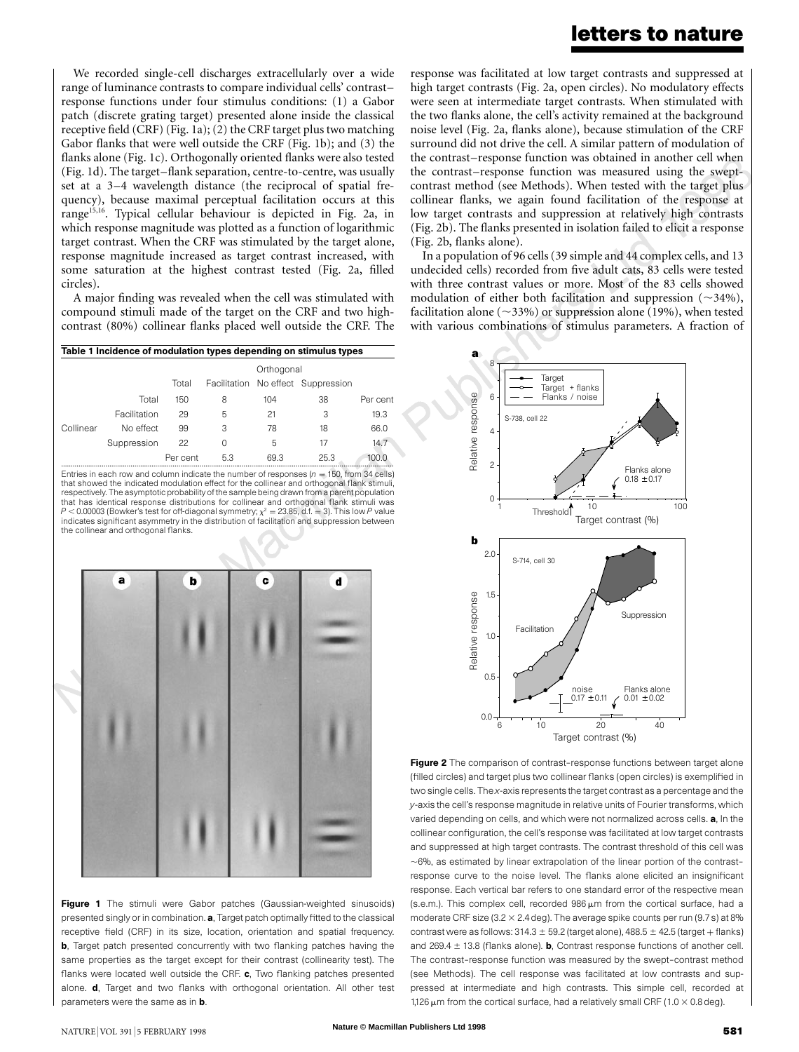### **letters to nature**

We recorded single-cell discharges extracellularly over a wide range of luminance contrasts to compare individual cells' contrast– response functions under four stimulus conditions: (1) a Gabor patch (discrete grating target) presented alone inside the classical receptive field  $(CRF)$  (Fig. 1a); (2) the CRF target plus two matching Gabor flanks that were well outside the CRF (Fig. 1b); and (3) the flanks alone (Fig. 1c). Orthogonally oriented flanks were also tested (Fig. 1d). The target–flank separation, centre-to-centre, was usually set at a 3–4 wavelength distance (the reciprocal of spatial frequency), because maximal perceptual facilitation occurs at this range<sup>15,16</sup>. Typical cellular behaviour is depicted in Fig. 2a, in which response magnitude was plotted as a function of logarithmic target contrast. When the CRF was stimulated by the target alone, response magnitude increased as target contrast increased, with some saturation at the highest contrast tested (Fig. 2a, filled circles).

A major finding was revealed when the cell was stimulated with compound stimuli made of the target on the CRF and two highcontrast (80%) collinear flanks placed well outside the CRF. The

| Table 1 Incidence of modulation types depending on stimulus types |                                                                                              |            |     |      |                                    |          |
|-------------------------------------------------------------------|----------------------------------------------------------------------------------------------|------------|-----|------|------------------------------------|----------|
|                                                                   |                                                                                              | Orthogonal |     |      |                                    |          |
|                                                                   |                                                                                              | Total      |     |      | Facilitation No effect Suppression |          |
|                                                                   | Total                                                                                        | 150        | 8   | 104  | 38                                 | Per cent |
|                                                                   | Facilitation                                                                                 | 29         | 5   | 21   | 3                                  | 19.3     |
| Collinear                                                         | No effect                                                                                    | 99         | 3   | 78   | 18                                 | 66.0     |
|                                                                   | Suppression                                                                                  | 22         | 0   | 5    | 17                                 | 14.7     |
|                                                                   |                                                                                              | Per cent   | 5.3 | 69.3 | 25.3                               | 100.0    |
|                                                                   | Entries in each row and column indicate the number of responses ( $n = 150$ , from 34 cells) |            |     |      |                                    |          |

that showed the indicated modulation effect for the collinear and orthogonal flank stimuli, respectively. The asymptotic probability of the sample being drawn from a parent population that has identical response distributions for collinear and orthogonal flank stimuli was  $P < 0.00003$  (Bowker's test for off-diagonal symmetry;  $\chi^2 = 23.85$ , d.f. = 3). This low P value indicates significant asymmetry in the distribution of facilitation and suppression between the collinear and orthogonal flanks.



Figure 1 The stimuli were Gabor patches (Gaussian-weighted sinusoids) presented singly or in combination. a, Target patch optimally fitted to the classical receptive field (CRF) in its size, location, orientation and spatial frequency. **b**, Target patch presented concurrently with two flanking patches having the same properties as the target except for their contrast (collinearity test). The flanks were located well outside the CRF. c, Two flanking patches presented alone. **d**, Target and two flanks with orthogonal orientation. All other test parameters were the same as in **b**.

the contrast–response function was obtained in another cell when<br>the contrast–response function was measured using the swept–<br>contrast method (see Methods). When tested with the target plus response was facilitated at low target contrasts and suppressed at high target contrasts (Fig. 2a, open circles). No modulatory effects were seen at intermediate target contrasts. When stimulated with the two flanks alone, the cell's activity remained at the background noise level (Fig. 2a, flanks alone), because stimulation of the CRF surround did not drive the cell. A similar pattern of modulation of the contrast–response function was obtained in another cell when the contrast–response function was measured using the sweptcollinear flanks, we again found facilitation of the response at low target contrasts and suppression at relatively high contrasts (Fig. 2b). The flanks presented in isolation failed to elicit a response (Fig. 2b, flanks alone).

In a population of 96 cells(39 simple and 44 complex cells, and 13 undecided cells) recorded from five adult cats, 83 cells were tested with three contrast values or more. Most of the 83 cells showed modulation of either both facilitation and suppression  $(\sim 34\%)$ , facilitation alone ( $\sim$ 33%) or suppression alone (19%), when tested with various combinations of stimulus parameters. A fraction of



Figure 2 The comparison of contrast-response functions between target alone (filled circles) and target plus two collinear flanks (open circles) is exemplified in two single cells. The *x*-axis represents the target contrast as a percentage and the *y*-axis the cell's response magnitude in relative units of Fourier transforms, which varied depending on cells, and which were not normalized across cells. a, In the collinear configuration, the cell's response was facilitated at low target contrasts and suppressed at high target contrasts. The contrast threshold of this cell was  $\sim$ 6%, as estimated by linear extrapolation of the linear portion of the contrastresponse curve to the noise level. The flanks alone elicited an insignificant response. Each vertical bar refers to one standard error of the respective mean (s.e.m.). This complex cell, recorded  $986 \,\mu m$  from the cortical surface, had a moderate CRF size (3.2  $\times$  2.4 deg). The average spike counts per run (9.7 s) at 8% contrast were as follows:  $314.3 \pm 59.2$  (target alone),  $488.5 \pm 42.5$  (target + flanks) and 269.4  $\pm$  13.8 (flanks alone). **b**, Contrast response functions of another cell. The contrast–response function was measured by the swept–contrast method (see Methods). The cell response was facilitated at low contrasts and suppressed at intermediate and high contrasts. This simple cell, recorded at 1,126  $\mu$ m from the cortical surface, had a relatively small CRF (1.0  $\times$  0.8 deg).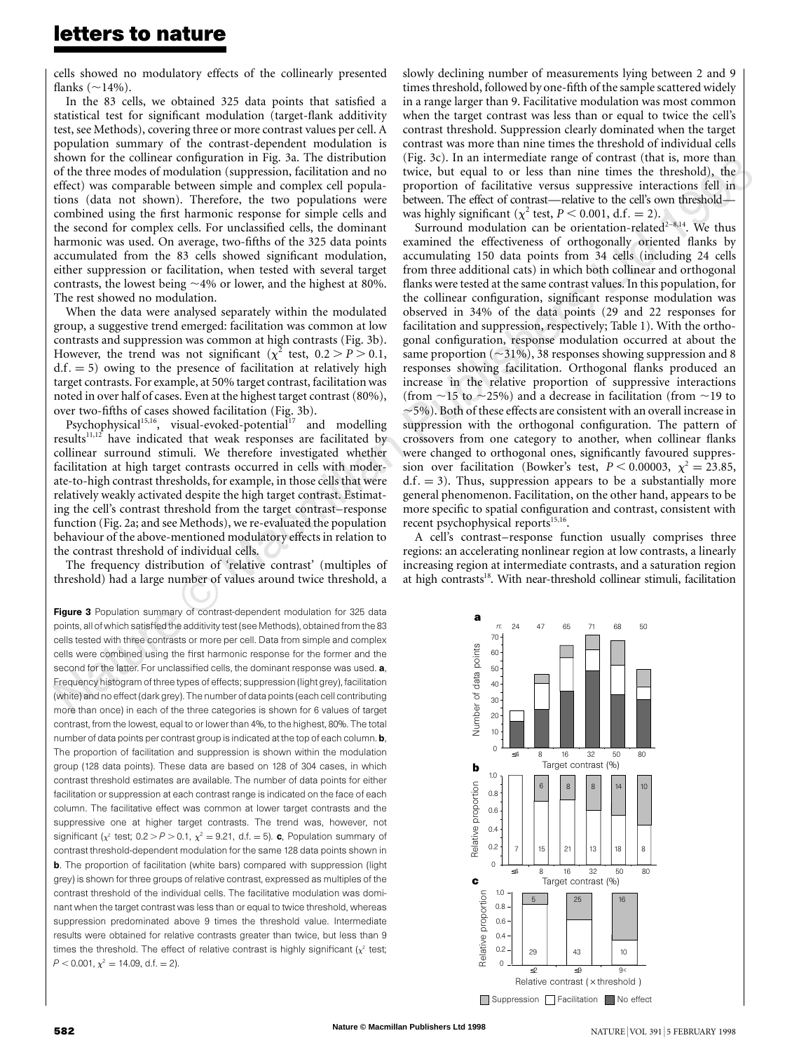cells showed no modulatory effects of the collinearly presented flanks  $(\sim14\%)$ .

In the 83 cells, we obtained 325 data points that satisfied a statistical test for significant modulation (target-flank additivity test, see Methods), covering three or more contrast values per cell. A population summary of the contrast-dependent modulation is shown for the collinear configuration in Fig. 3a. The distribution of the three modes of modulation (suppression, facilitation and no effect) was comparable between simple and complex cell populations (data not shown). Therefore, the two populations were combined using the first harmonic response for simple cells and the second for complex cells. For unclassified cells, the dominant harmonic was used. On average, two-fifths of the 325 data points accumulated from the 83 cells showed significant modulation, either suppression or facilitation, when tested with several target contrasts, the lowest being  $\sim$ 4% or lower, and the highest at 80%. The rest showed no modulation.

When the data were analysed separately within the modulated group, a suggestive trend emerged: facilitation was common at low contrasts and suppression was common at high contrasts (Fig. 3b). However, the trend was not significant ( $\chi^2$  test,  $0.2 > P > 0.1$ ,  $d.f. = 5$ ) owing to the presence of facilitation at relatively high target contrasts. For example, at 50% target contrast, facilitation was noted in over half of cases. Even at the highest target contrast (80%), over two-fifths of cases showed facilitation (Fig. 3b).

Psychophysical<sup>15,16</sup>, visual-evoked-potential<sup>17</sup> and modelling results $11,12$  have indicated that weak responses are facilitated by collinear surround stimuli. We therefore investigated whether facilitation at high target contrasts occurred in cells with moderate-to-high contrast thresholds, for example, in those cells that were relatively weakly activated despite the high target contrast. Estimating the cell's contrast threshold from the target contrast–response function (Fig. 2a; and see Methods), we re-evaluated the population behaviour of the above-mentioned modulatory effects in relation to the contrast threshold of individual cells.

The frequency distribution of 'relative contrast' (multiples of threshold) had a large number of values around twice threshold, a

Figure 3 Population summary of contrast-dependent modulation for 325 data points, all of which satisfied the additivity test (see Methods), obtained from the 83 cells tested with three contrasts or more per cell. Data from simple and complex cells were combined using the first harmonic response for the former and the second for the latter. For unclassified cells, the dominant response was used. a, Frequency histogram of three types of effects; suppression (light grey), facilitation (white) and no effect (dark grey). The number of data points (each cell contributing more than once) in each of the three categories is shown for 6 values of target contrast, from the lowest, equal to or lower than 4%, to the highest, 80%. The total number of data points per contrast group is indicated at the top of each column. **b**, The proportion of facilitation and suppression is shown within the modulation group (128 data points). These data are based on 128 of 304 cases, in which contrast threshold estimates are available. The number of data points for either facilitation or suppression at each contrast range is indicated on the face of each column. The facilitative effect was common at lower target contrasts and the suppressive one at higher target contrasts. The trend was, however, not significant ( $x^2$  test; 0.2 > *P* > 0.1,  $x^2 = 9.21$ , d.f. = 5). **c**, Population summary of contrast threshold-dependent modulation for the same 128 data points shown in **b**. The proportion of facilitation (white bars) compared with suppression (light grey) is shown for three groups of relative contrast, expressed as multiples of the contrast threshold of the individual cells. The facilitative modulation was dominant when the target contrast was less than or equal to twice threshold, whereas suppression predominated above 9 times the threshold value. Intermediate results were obtained for relative contrasts greater than twice, but less than 9 times the threshold. The effect of relative contrast is highly significant  $(x^2 \text{ test};$  $P < 0.001$ ,  $\chi^2 = 14.09$ , d.f. = 2).

(Fig. 3c). In an intermediate range of contrast (that is, more than twice, but equal to or less than nine times the threshold), the proportion of facilitative versus suppressive interactions fell in slowly declining number of measurements lying between 2 and 9 times threshold, followed by one-fifth of the sample scattered widely in a range larger than 9. Facilitative modulation was most common when the target contrast was less than or equal to twice the cell's contrast threshold. Suppression clearly dominated when the target contrast was more than nine times the threshold of individual cells (Fig. 3c). In an intermediate range of contrast (that is, more than twice, but equal to or less than nine times the threshold), the between. The effect of contrast—relative to the cell's own threshold was highly significant ( $\chi^2$  test,  $P < 0.001$ , d.f. = 2).

Surround modulation can be orientation-related $2-8,14$ . We thus examined the effectiveness of orthogonally oriented flanks by accumulating 150 data points from 34 cells (including 24 cells from three additional cats) in which both collinear and orthogonal flanks were tested at the same contrast values. In this population, for the collinear configuration, significant response modulation was observed in 34% of the data points (29 and 22 responses for facilitation and suppression, respectively; Table 1). With the orthogonal configuration, response modulation occurred at about the same proportion ( $\sim$ 31%), 38 responses showing suppression and 8 responses showing facilitation. Orthogonal flanks produced an increase in the relative proportion of suppressive interactions (from  $\sim$ 15 to  $\sim$ 25%) and a decrease in facilitation (from  $\sim$ 19 to  $\sim$ 5%). Both of these effects are consistent with an overall increase in suppression with the orthogonal configuration. The pattern of crossovers from one category to another, when collinear flanks were changed to orthogonal ones, significantly favoured suppression over facilitation (Bowker's test,  $P \le 0.00003$ ,  $\chi^2 = 23.85$ ,  $d.f. = 3$ ). Thus, suppression appears to be a substantially more general phenomenon. Facilitation, on the other hand, appears to be more specific to spatial configuration and contrast, consistent with recent psychophysical reports<sup>15,16</sup>.

A cell's contrast–response function usually comprises three regions: an accelerating nonlinear region at low contrasts, a linearly increasing region at intermediate contrasts, and a saturation region at high contrasts<sup>18</sup>. With near-threshold collinear stimuli, facilitation

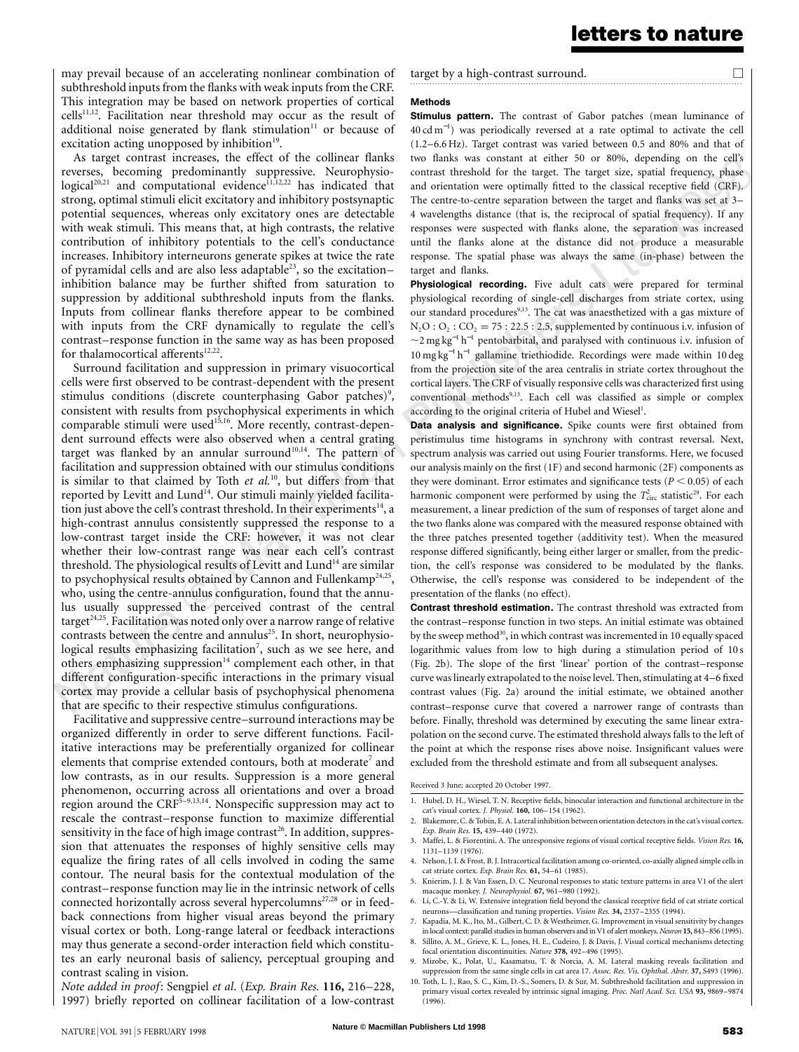may prevail because of an accelerating nonlinear combination of subthreshold inputs from the flanks with weak inputs from the CRF. This integration may be based on network properties of cortical  $cells<sup>11,12</sup>$ . Facilitation near threshold may occur as the result of additional noise generated by flank stimulation $11$  or because of excitation acting unopposed by inhibition $19$ .

As target contrast increases, the effect of the collinear flanks reverses, becoming predominantly suppressive. Neurophysio $logical^{20,21}$  and computational evidence<sup>11,12,22</sup> has indicated that strong, optimal stimuli elicit excitatory and inhibitory postsynaptic potential sequences, whereas only excitatory ones are detectable with weak stimuli. This means that, at high contrasts, the relative contribution of inhibitory potentials to the cell's conductance increases. Inhibitory interneurons generate spikes at twice the rate of pyramidal cells and are also less adaptable<sup>23</sup>, so the excitationinhibition balance may be further shifted from saturation to suppression by additional subthreshold inputs from the flanks. Inputs from collinear flanks therefore appear to be combined with inputs from the CRF dynamically to regulate the cell's contrast–response function in the same way as has been proposed for thalamocortical afferents $12,22$ .

Surround facilitation and suppression in primary visuocortical cells were first observed to be contrast-dependent with the present stimulus conditions (discrete counterphasing Gabor patches)<sup>9</sup>, consistent with results from psychophysical experiments in which comparable stimuli were used<sup>15,16</sup>. More recently, contrast-dependent surround effects were also observed when a central grating target was flanked by an annular surround<sup>10,14</sup>. The pattern of facilitation and suppression obtained with our stimulus conditions is similar to that claimed by Toth *et al.*10, but differs from that reported by Levitt and Lund<sup>14</sup>. Our stimuli mainly yielded facilitation just above the cell's contrast threshold. In their experiments $14$ , a high-contrast annulus consistently suppressed the response to a low-contrast target inside the CRF: however, it was not clear whether their low-contrast range was near each cell's contrast threshold. The physiological results of Levitt and Lund<sup>14</sup> are similar to psychophysical results obtained by Cannon and Fullenkamp<sup>24,25</sup>, who, using the centre-annulus configuration, found that the annulus usually suppressed the perceived contrast of the central target<sup>24,25</sup>. Facilitation was noted only over a narrow range of relative contrasts between the centre and annulus<sup>25</sup>. In short, neurophysiological results emphasizing facilitation<sup>7</sup>, such as we see here, and others emphasizing suppression $14$  complement each other, in that different configuration-specific interactions in the primary visual cortex may provide a cellular basis of psychophysical phenomena that are specific to their respective stimulus configurations.

Facilitative and suppressive centre–surround interactions may be organized differently in order to serve different functions. Facilitative interactions may be preferentially organized for collinear elements that comprise extended contours, both at moderate<sup>7</sup> and low contrasts, as in our results. Suppression is a more general phenomenon, occurring across all orientations and over a broad region around the  $CRF<sup>5-9,13,14</sup>$ . Nonspecific suppression may act to rescale the contrast–response function to maximize differential sensitivity in the face of high image contrast<sup>26</sup>. In addition, suppression that attenuates the responses of highly sensitive cells may equalize the firing rates of all cells involved in coding the same contour. The neural basis for the contextual modulation of the contrast–response function may lie in the intrinsic network of cells connected horizontally across several hypercolumns<sup>27,28</sup> or in feedback connections from higher visual areas beyond the primary visual cortex or both. Long-range lateral or feedback interactions may thus generate a second-order interaction field which constitutes an early neuronal basis of saliency, perceptual grouping and contrast scaling in vision.

*Note added in proof*: Sengpiel *et al*. (*Exp. Brain Res.* **116,** 216–228, 1997) briefly reported on collinear facilitation of a low-contrast target by a high-contrast surround.  $\Box$ 

#### Methods

cell's<br>phase<br>CRF). **Stimulus pattern.** The contrast of Gabor patches (mean luminance of 40 cd m<sup>−</sup><sup>1</sup> ) was periodically reversed at a rate optimal to activate the cell (1.2–6.6 Hz). Target contrast was varied between 0.5 and 80% and that of two flanks was constant at either 50 or 80%, depending on the cell's contrast threshold for the target. The target size, spatial frequency, phase and orientation were optimally fitted to the classical receptive field (CRF). The centre-to-centre separation between the target and flanks was set at 3– 4 wavelengths distance (that is, the reciprocal of spatial frequency). If any responses were suspected with flanks alone, the separation was increased until the flanks alone at the distance did not produce a measurable response. The spatial phase was always the same (in-phase) between the target and flanks.

Physiological recording. Five adult cats were prepared for terminal physiological recording of single-cell discharges from striate cortex, using our standard procedures<sup>9,13</sup>. The cat was anaesthetized with a gas mixture of  $N_2O : O_2 : CO_2 = 75 : 22.5 : 2.5$ , supplemented by continuous i.v. infusion of  $\sim$ 2 mg kg<sup>-1</sup> h<sup>-1</sup> pentobarbital, and paralysed with continuous i.v. infusion of 10 mg kg<sup>−</sup><sup>1</sup> h<sup>−</sup><sup>1</sup> gallamine triethiodide. Recordings were made within 10 deg from the projection site of the area centralis in striate cortex throughout the cortical layers. The CRF of visually responsive cellswas characterized first using conventional methods<sup>9,13</sup>. Each cell was classified as simple or complex according to the original criteria of Hubel and Wiesel<sup>1</sup>.

Data analysis and significance. Spike counts were first obtained from peristimulus time histograms in synchrony with contrast reversal. Next, spectrum analysis was carried out using Fourier transforms. Here, we focused our analysis mainly on the first (1F) and second harmonic (2F) components as they were dominant. Error estimates and significance tests  $(P < 0.05)$  of each harmonic component were performed by using the  $T_{\text{circ}}^2$  statistic<sup>29</sup>. For each measurement, a linear prediction of the sum of responses of target alone and the two flanks alone was compared with the measured response obtained with the three patches presented together (additivity test). When the measured response differed significantly, being either larger or smaller, from the prediction, the cell's response was considered to be modulated by the flanks. Otherwise, the cell's response was considered to be independent of the presentation of the flanks (no effect).

Contrast threshold estimation. The contrast threshold was extracted from the contrast–response function in two steps. An initial estimate was obtained by the sweep method<sup>30</sup>, in which contrast was incremented in 10 equally spaced logarithmic values from low to high during a stimulation period of 10 s (Fig. 2b). The slope of the first 'linear' portion of the contrast–response curve was linearly extrapolated to the noise level. Then, stimulating at 4–6 fixed contrast values (Fig. 2a) around the initial estimate, we obtained another contrast–response curve that covered a narrower range of contrasts than before. Finally, threshold was determined by executing the same linear extrapolation on the second curve. The estimated threshold always falls to the left of the point at which the response rises above noise. Insignificant values were excluded from the threshold estimate and from all subsequent analyses.

Received 3 June; accepted 20 October 1997.

- 1. Hubel, D. H., Wiesel, T. N. Receptive fields, binocular interaction and functional architecture in the cat's visual cortex. *J. Physiol.* **160,** 106–154 (1962).
- 2. Blakemore, C. & Tobin, E. A. Lateral inhibition between orientation detectorsin the cat's visual cortex. *Exp. Brain Res.* **15,** 439–440 (1972).
- 3. Maffei, L. & Fiorentini, A. The unresponsive regions of visual cortical receptive fields. *Vision Res.* **16,** 1131–1139 (1976).
- 4. Nelson, J. I. & Frost, B. J. Intracortical facilitation among co-oriented, co-axially aligned simple cellsin cat striate cortex. *Exp. Brain Res.* **61,** 54–61 (1985).
- 5. Knierim, J. J. & Van Essen, D. C. Neuronal responses to static texture patterns in area V1 of the alert macaque monkey. *J. Neurophysiol.* **67,** 961–980 (1992).
- 6. Li, C.-Y. & Li, W. Extensive integration field beyond the classical receptive field of cat striate cortical neurons—classification and tuning properties. *Vision Res.* **34,** 2337–2355 (1994).
- 7. Kapadia, M. K., Ito, M., Gilbert, C. D. & Westheimer, G. Improvement in visual sensitivity by changes in local context: parallelstudiesin human observers and inV1 of alert monkeys. *Neuron* **15,** 843–856 (1995).
- 8. Sillito, A. M., Grieve, K. L., Jones, H. E., Cudeiro, J. & Davis, J. Visual cortical mechanisms detecting focal orientation discontinuities. *Nature* **378,** 492–496 (1995).
- 9. Mizobe, K., Polat, U., Kasamatsu, T. & Norcia, A. M. Lateral masking reveals facilitation and suppression from the same single cells in cat area 17. *Assoc. Res. Vis. Ophthal. Abstr.* **37,** S493 (1996).
- 10. Toth, L. J., Rao, S. C., Kim, D.-S., Somers, D. & Sur, M. Subthreshold facilitation and suppression in primary visual cortex revealed by intrinsic signal imaging. *Proc. Natl Acad. Sci. USA* **93,** 9869–9874 (1996).